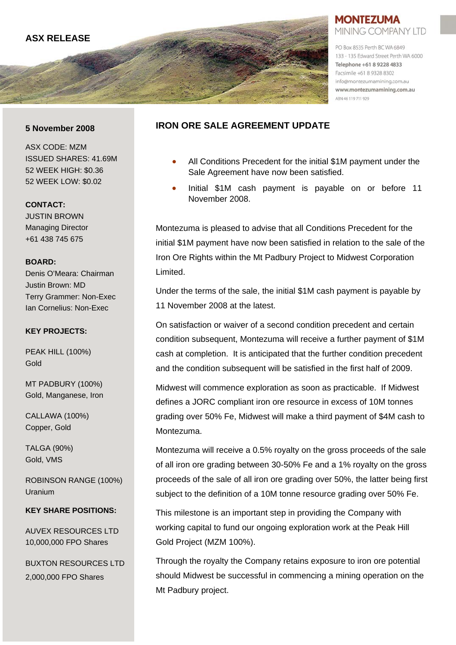

### **MONTEZUMA** MINING COMPANY LTD

PO Box 8535 Perth BC WA 6849 133 - 135 Edward Street Perth WA 6000 Telephone +61 8 9228 4833 Facsimile +61 8 9328 8302 info@montezumamining.com.au www.montezumamining.com.au

### **5 November 2008**

ASX CODE: MZM ISSUED SHARES: 41.69M 52 WEEK HIGH: \$0.36 52 WEEK LOW: \$0.02

#### **CONTACT:**

JUSTIN BROWN Managing Director +61 438 745 675

### **BOARD:**

Denis O'Meara: Chairman Justin Brown: MD Terry Grammer: Non-Exec Ian Cornelius: Non-Exec

### **KEY PROJECTS:**

PEAK HILL (100%) Gold

MT PADBURY (100%) Gold, Manganese, Iron

CALLAWA (100%) Copper, Gold

TALGA (90%) Gold, VMS

ROBINSON RANGE (100%) Uranium

### **KEY SHARE POSITIONS:**

AUVEX RESOURCES LTD 10,000,000 FPO Shares

BUXTON RESOURCES LTD 2,000,000 FPO Shares

## **IRON ORE SALE AGREEMENT UPDATE**

- All Conditions Precedent for the initial \$1M payment under the Sale Agreement have now been satisfied.
- Initial \$1M cash payment is payable on or before 11 November 2008.

Montezuma is pleased to advise that all Conditions Precedent for the initial \$1M payment have now been satisfied in relation to the sale of the Iron Ore Rights within the Mt Padbury Project to Midwest Corporation Limited.

Under the terms of the sale, the initial \$1M cash payment is payable by 11 November 2008 at the latest.

On satisfaction or waiver of a second condition precedent and certain condition subsequent, Montezuma will receive a further payment of \$1M cash at completion. It is anticipated that the further condition precedent and the condition subsequent will be satisfied in the first half of 2009.

Midwest will commence exploration as soon as practicable. If Midwest defines a JORC compliant iron ore resource in excess of 10M tonnes grading over 50% Fe, Midwest will make a third payment of \$4M cash to Montezuma.

Montezuma will receive a 0.5% royalty on the gross proceeds of the sale of all iron ore grading between 30-50% Fe and a 1% royalty on the gross proceeds of the sale of all iron ore grading over 50%, the latter being first subject to the definition of a 10M tonne resource grading over 50% Fe.

This milestone is an important step in providing the Company with working capital to fund our ongoing exploration work at the Peak Hill Gold Project (MZM 100%).

Through the royalty the Company retains exposure to iron ore potential should Midwest be successful in commencing a mining operation on the Mt Padbury project.